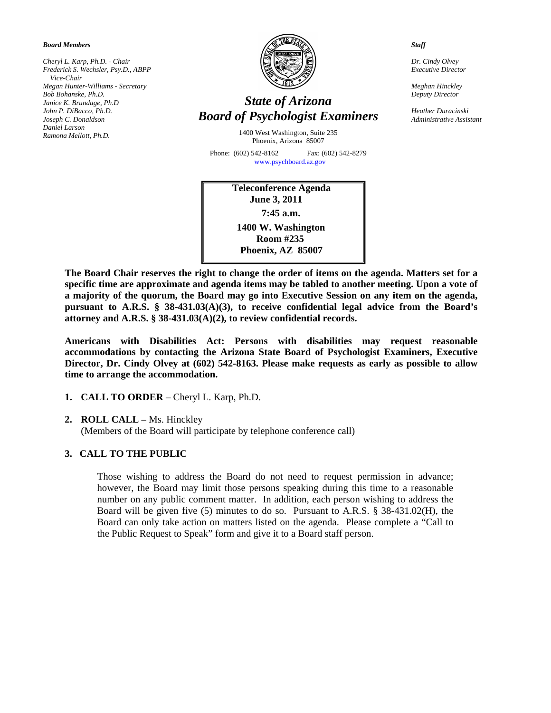*Board Members* 

*Cheryl L. Karp, Ph.D. - Chair Frederick S. Wechsler, Psy.D., ABPP Vice-Chair Megan Hunter-Williams - Secretary Bob Bohanske, Ph.D. Janice K. Brundage, Ph.D John P. DiBacco, Ph.D. Joseph C. Donaldson Daniel Larson Ramona Mellott, Ph.D.* 



# *State of Arizona Board of Psychologist Examiners*

1400 West Washington, Suite 235 Phoenix, Arizona 85007

Phone: (602) 542-8162 Fax: (602) 542-8279 [www.psychboard.az.gov](http://www.psychboard.az.gov/)

> **Teleconference Agenda June 3, 2011 7:45 a.m. 1400 W. Washington Room #235 Phoenix, AZ 85007**

*Staff* 

*Dr. Cindy Olvey Executive Director* 

*Meghan Hinckley Deputy Director* 

*Heather Duracinski Administrative Assistant* 

**The Board Chair reserves the right to change the order of items on the agenda. Matters set for a specific time are approximate and agenda items may be tabled to another meeting. Upon a vote of a majority of the quorum, the Board may go into Executive Session on any item on the agenda, pursuant to A.R.S. § 38-431.03(A)(3), to receive confidential legal advice from the Board's attorney and A.R.S. § 38-431.03(A)(2), to review confidential records.** 

**Americans with Disabilities Act: Persons with disabilities may request reasonable accommodations by contacting the Arizona State Board of Psychologist Examiners, Executive Director, Dr. Cindy Olvey at (602) 542-8163. Please make requests as early as possible to allow time to arrange the accommodation.** 

- **1. CALL TO ORDER** Cheryl L. Karp, Ph.D.
- **2. ROLL CALL** Ms. Hinckley

(Members of the Board will participate by telephone conference call)

## **3. CALL TO THE PUBLIC**

Those wishing to address the Board do not need to request permission in advance; however, the Board may limit those persons speaking during this time to a reasonable number on any public comment matter. In addition, each person wishing to address the Board will be given five (5) minutes to do so. Pursuant to A.R.S. § 38-431.02(H), the Board can only take action on matters listed on the agenda. Please complete a "Call to the Public Request to Speak" form and give it to a Board staff person.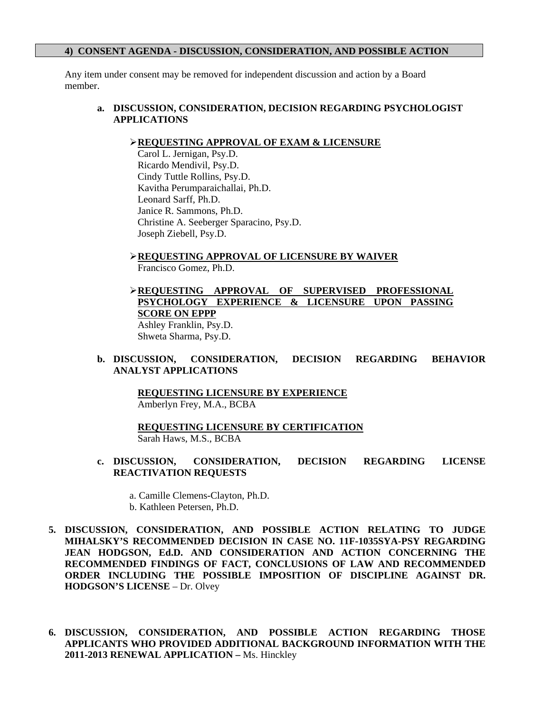#### **4) CONSENT AGENDA - DISCUSSION, CONSIDERATION, AND POSSIBLE ACTION**

Any item under consent may be removed for independent discussion and action by a Board member.

## **a. DISCUSSION, CONSIDERATION, DECISION REGARDING PSYCHOLOGIST APPLICATIONS**

#### **REQUESTING APPROVAL OF EXAM & LICENSURE**

 Carol L. Jernigan, Psy.D. Ricardo Mendivil, Psy.D. Cindy Tuttle Rollins, Psy.D. Kavitha Perumparaichallai, Ph.D. Leonard Sarff, Ph.D. Janice R. Sammons, Ph.D. Christine A. Seeberger Sparacino, Psy.D. Joseph Ziebell, Psy.D.

**REQUESTING APPROVAL OF LICENSURE BY WAIVER**

Francisco Gomez, Ph.D.

**REQUESTING APPROVAL OF SUPERVISED PROFESSIONAL PSYCHOLOGY EXPERIENCE & LICENSURE UPON PASSING SCORE ON EPPP** Ashley Franklin, Psy.D.

Shweta Sharma, Psy.D.

## **b. DISCUSSION, CONSIDERATION, DECISION REGARDING BEHAVIOR ANALYST APPLICATIONS**

 **REQUESTING LICENSURE BY EXPERIENCE** Amberlyn Frey, M.A., BCBA

 **REQUESTING LICENSURE BY CERTIFICATION** Sarah Haws, M.S., BCBA

# **c. DISCUSSION, CONSIDERATION, DECISION REGARDING LICENSE REACTIVATION REQUESTS**

- a. Camille Clemens-Clayton, Ph.D. b. Kathleen Petersen, Ph.D.
- **5. DISCUSSION, CONSIDERATION, AND POSSIBLE ACTION RELATING TO JUDGE MIHALSKY'S RECOMMENDED DECISION IN CASE NO. 11F-1035SYA-PSY REGARDING JEAN HODGSON, Ed.D. AND CONSIDERATION AND ACTION CONCERNING THE RECOMMENDED FINDINGS OF FACT, CONCLUSIONS OF LAW AND RECOMMENDED ORDER INCLUDING THE POSSIBLE IMPOSITION OF DISCIPLINE AGAINST DR. HODGSON'S LICENSE** – Dr. Olvey
- **6. DISCUSSION, CONSIDERATION, AND POSSIBLE ACTION REGARDING THOSE APPLICANTS WHO PROVIDED ADDITIONAL BACKGROUND INFORMATION WITH THE 2011-2013 RENEWAL APPLICATION –** Ms. Hinckley